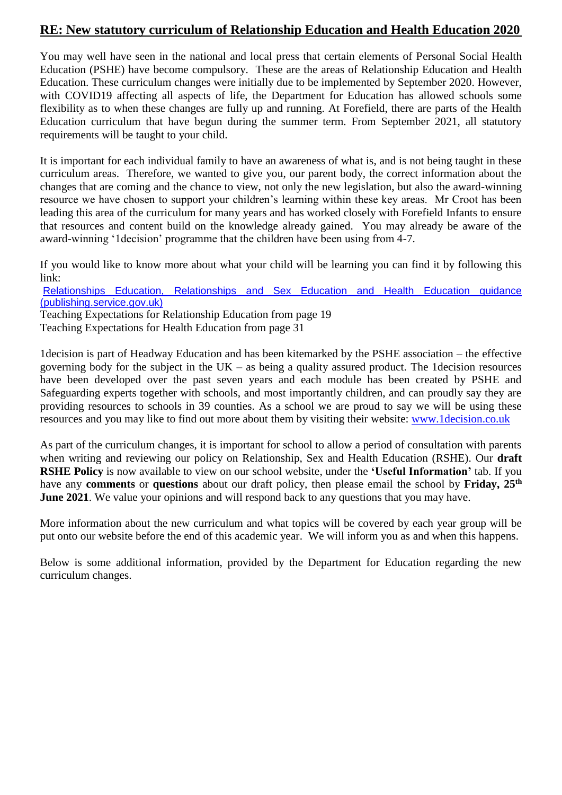#### **RE: New statutory curriculum of Relationship Education and Health Education 2020**

You may well have seen in the national and local press that certain elements of Personal Social Health Education (PSHE) have become compulsory. These are the areas of Relationship Education and Health Education. These curriculum changes were initially due to be implemented by September 2020. However, with COVID19 affecting all aspects of life, the Department for Education has allowed schools some flexibility as to when these changes are fully up and running. At Forefield, there are parts of the Health Education curriculum that have begun during the summer term. From September 2021, all statutory requirements will be taught to your child.

It is important for each individual family to have an awareness of what is, and is not being taught in these curriculum areas. Therefore, we wanted to give you, our parent body, the correct information about the changes that are coming and the chance to view, not only the new legislation, but also the award-winning resource we have chosen to support your children's learning within these key areas. Mr Croot has been leading this area of the curriculum for many years and has worked closely with Forefield Infants to ensure that resources and content build on the knowledge already gained. You may already be aware of the award-winning '1decision' programme that the children have been using from 4-7.

If you would like to know more about what your child will be learning you can find it by following this link:

[Relationships Education, Relationships and Sex Education and Health Education guidance](https://assets.publishing.service.gov.uk/government/uploads/system/uploads/attachment_data/file/908013/Relationships_Education__Relationships_and_Sex_Education__RSE__and_Health_Education.pdf)  [\(publishing.service.gov.uk\)](https://assets.publishing.service.gov.uk/government/uploads/system/uploads/attachment_data/file/908013/Relationships_Education__Relationships_and_Sex_Education__RSE__and_Health_Education.pdf)

Teaching Expectations for Relationship Education from page 19

Teaching Expectations for Health Education from page 31

1decision is part of Headway Education and has been kitemarked by the PSHE association – the effective governing body for the subject in the  $UK -$  as being a quality assured product. The 1 decision resources have been developed over the past seven years and each module has been created by PSHE and Safeguarding experts together with schools, and most importantly children, and can proudly say they are providing resources to schools in 39 counties. As a school we are proud to say we will be using these resources and you may like to find out more about them by visiting their website: [www.1decision.co.uk](http://www.1decision.co.uk/)

As part of the curriculum changes, it is important for school to allow a period of consultation with parents when writing and reviewing our policy on Relationship, Sex and Health Education (RSHE). Our **draft RSHE Policy** is now available to view on our school website, under the **'Useful Information'** tab. If you have any **comments** or **questions** about our draft policy, then please email the school by **Friday, 25th June 2021**. We value your opinions and will respond back to any questions that you may have.

More information about the new curriculum and what topics will be covered by each year group will be put onto our website before the end of this academic year. We will inform you as and when this happens.

Below is some additional information, provided by the Department for Education regarding the new curriculum changes.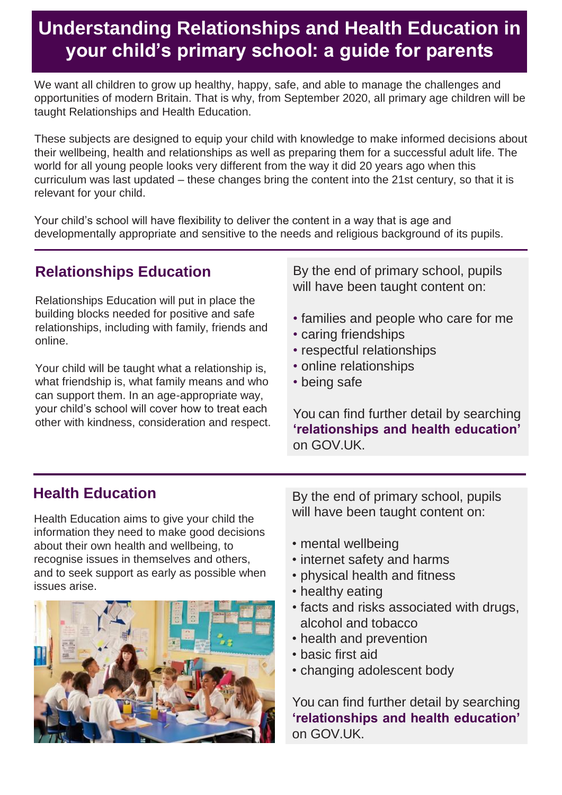## **Understanding Relationships and Health Education in your child's primary school: a guide for parents**

We want all children to grow up healthy, happy, safe, and able to manage the challenges and opportunities of modern Britain. That is why, from September 2020, all primary age children will be taught Relationships and Health Education.

These subjects are designed to equip your child with knowledge to make informed decisions about their wellbeing, health and relationships as well as preparing them for a successful adult life. The world for all young people looks very different from the way it did 20 years ago when this curriculum was last updated – these changes bring the content into the 21st century, so that it is relevant for your child.

Your child's school will have flexibility to deliver the content in a way that is age and developmentally appropriate and sensitive to the needs and religious background of its pupils.

### **Relationships Education**

Relationships Education will put in place the building blocks needed for positive and safe relationships, including with family, friends and online.

Your child will be taught what a relationship is, what friendship is, what family means and who can support them. In an age-appropriate way, your child's school will cover how to treat each other with kindness, consideration and respect. By the end of primary school, pupils will have been taught content on:

- families and people who care for me
- caring friendships
- respectful relationships
- online relationships
- being safe

You can find further detail by searching **'relationships and health education'**  on GOV.UK.

### **Health Education**

Health Education aims to give your child the information they need to make good decisions about their own health and wellbeing, to recognise issues in themselves and others, and to seek support as early as possible when issues arise.



By the end of primary school, pupils will have been taught content on:

- mental wellbeing
- internet safety and harms
- physical health and fitness
- healthy eating
- facts and risks associated with drugs, alcohol and tobacco
- health and prevention
- basic first aid
- changing adolescent body

You can find further detail by searching **'relationships and health education'**  on GOV.UK.